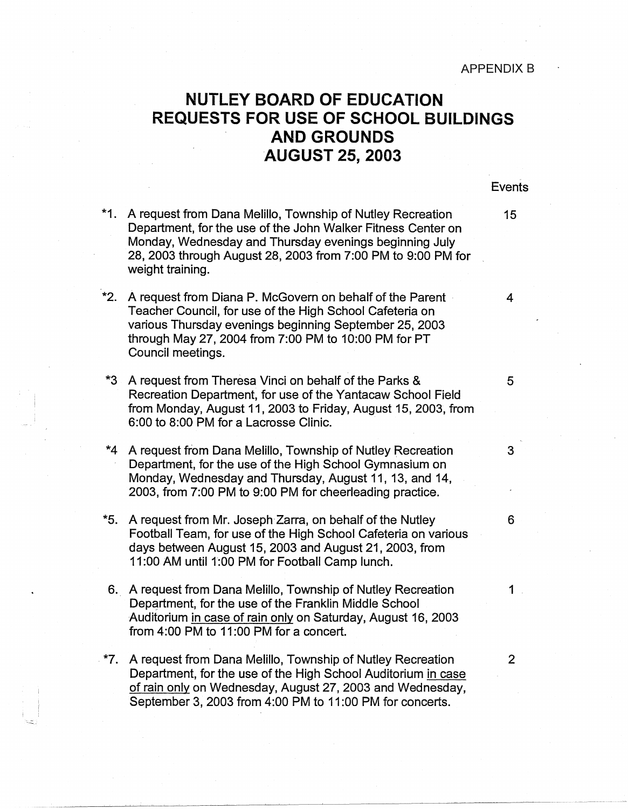## **NUTLEY BOARD OF EDUCATION REQUESTS FOR USE OF SCHOOL BUILDINGS AND GROUNDS AUGUST 25, 2003**

## Events

- **\*1.**  A request from Dana Melillo, Township of Nutley Recreation 15 Department, for the use of the John Walker Fitness Center on Monday, Wednesday and Thursday evenings beginning July 28, 2003 through August 28, 2003 from 7:00 PM to 9:00 PM for weight training.
- \*2. A request from Diana P. McGovern on behalf of the Parent 4 Teacher Council, for use of the High School Cafeteria on various Thursday evenings beginning September 25, 2003 through May 27, 2004 from 7:00 PM to 10:00 PM for PT Council meetings.
- \*3 A request from Theresa Vinci on behalf of the Parks & 5 Recreation Department, for use of the Yantacaw School Field from Monday, August 11, 2003 to Friday, August 15, 2003, from 6:00 to 8:00 PM for a Lacrosse Clinic.
- **\*4**  A request from Dana Melillo, Township of Nutley Recreation 3 Department, for the use of the High School Gymnasium on Monday, Wednesday and Thursday, August 11, 13, and 14, 2003, from 7:00 PM to 9:00 PM for cheerleading practice.
- \*5. A request from Mr. Joseph Zarra, on behalf of the Nutley 6 Football Team, for use of the High School Cafeteria on various days between August 15, 2003 and August 21, 2003, from 11:00 AM until 1:00 PM for Football Camp lunch.
- 6. A request from Dana Melillo, Township of Nutley Recreation 1 Department, for the use of the Franklin Middle School Auditorium in case of rain only on Saturday, August 16, 2003 from 4:00 PM to 11:00 PM for a concert.
- **\*7.** A request from Dana Melillo, Township of Nutley Recreation 2 Department, for the use of the High School Auditorium in case of rain only on Wednesday, August 27, 2003 and Wednesday, September 3, 2003 from 4:00 PM to 11 :00 PM for concerts.

 $\mathbb{E}^{\pm\pm}$  .